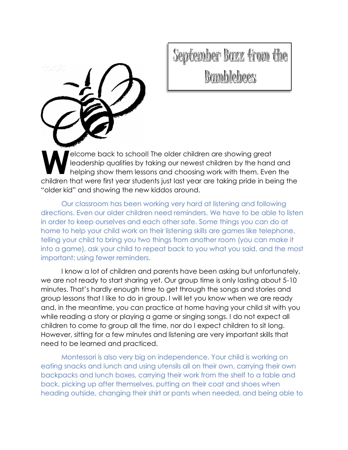

September Bazz from the Bamblebees

elcome back to school! The older children are showing great leadership qualities by taking our newest children by the hand and helping show them lessons and choosing work with them. Even the children that were first year students just last year are taking pride in being the "older kid" and showing the new kiddos around. **W**

Our classroom has been working very hard at listening and following directions. Even our older children need reminders. We have to be able to listen in order to keep ourselves and each other safe. Some things you can do at home to help your child work on their listening skills are games like telephone, telling your child to bring you two things from another room (you can make it into a game), ask your child to repeat back to you what you said, and the most important: using fewer reminders.

I know a lot of children and parents have been asking but unfortunately, we are not ready to start sharing yet. Our group time is only lasting about 5-10 minutes. That's hardly enough time to get through the songs and stories and group lessons that I like to do in group. I will let you know when we are ready and, in the meantime, you can practice at home having your child sit with you while reading a story or playing a game or singing songs. I do not expect all children to come to group all the time, nor do I expect children to sit long. However, sitting for a few minutes and listening are very important skills that need to be learned and practiced.

Montessori is also very big on independence. Your child is working on eating snacks and lunch and using utensils all on their own, carrying their own backpacks and lunch boxes, carrying their work from the shelf to a table and back, picking up after themselves, putting on their coat and shoes when heading outside, changing their shirt or pants when needed, and being able to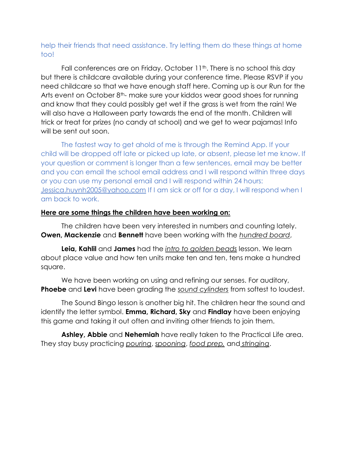## help their friends that need assistance. Try letting them do these things at home too!

Fall conferences are on Friday, October 11<sup>th</sup>. There is no school this day but there is childcare available during your conference time. Please RSVP if you need childcare so that we have enough staff here. Coming up is our Run for the Arts event on October  $8<sup>th</sup>$ - make sure your kiddos wear good shoes for running and know that they could possibly get wet if the grass is wet from the rain! We will also have a Halloween party towards the end of the month. Children will trick or treat for prizes (no candy at school) and we get to wear pajamas! Info will be sent out soon.

The fastest way to get ahold of me is through the Remind App. If your child will be dropped off late or picked up late, or absent, please let me know. If your question or comment is longer than a few sentences, email may be better and you can email the school email address and I will respond within three days or you can use my personal email and I will respond within 24 hours: [Jessica.huynh2005@yahoo.com](mailto:Jessica.huynh2005@yahoo.com) If I am sick or off for a day, I will respond when I am back to work.

## **Here are some things the children have been working on:**

The children have been very interested in numbers and counting lately. **Owen, Mackenzie** and **Bennett** have been working with the *hundred board*,

**Leia, Kahlil** and **James** had the *intro to golden beads* lesson. We learn about place value and how ten units make ten and ten, tens make a hundred square.

We have been working on using and refining our senses. For auditory, **Phoebe** and **Levi** have been grading the *sound cylinders* from softest to loudest.

The Sound Bingo lesson is another big hit. The children hear the sound and identify the letter symbol. **Emma, Richard, Sky** and **Findlay** have been enjoying this game and taking it out often and inviting other friends to join them.

**Ashley, Abbie** and **Nehemiah** have really taken to the Practical Life area. They stay busy practicing *pouring*, *spooning*, *food prep,* and *stringing*.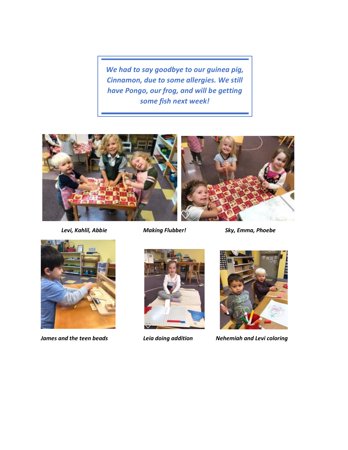*We had to say goodbye to our guinea pig, Cinnamon, due to some allergies. We still have Pongo, our frog, and will be getting some fish next week!*





*James and the teen beads Leia doing addition Nehemiah and Levi coloring*

*Levi, Kahlil, Abbie Making Flubber! Sky, Emma, Phoebe*